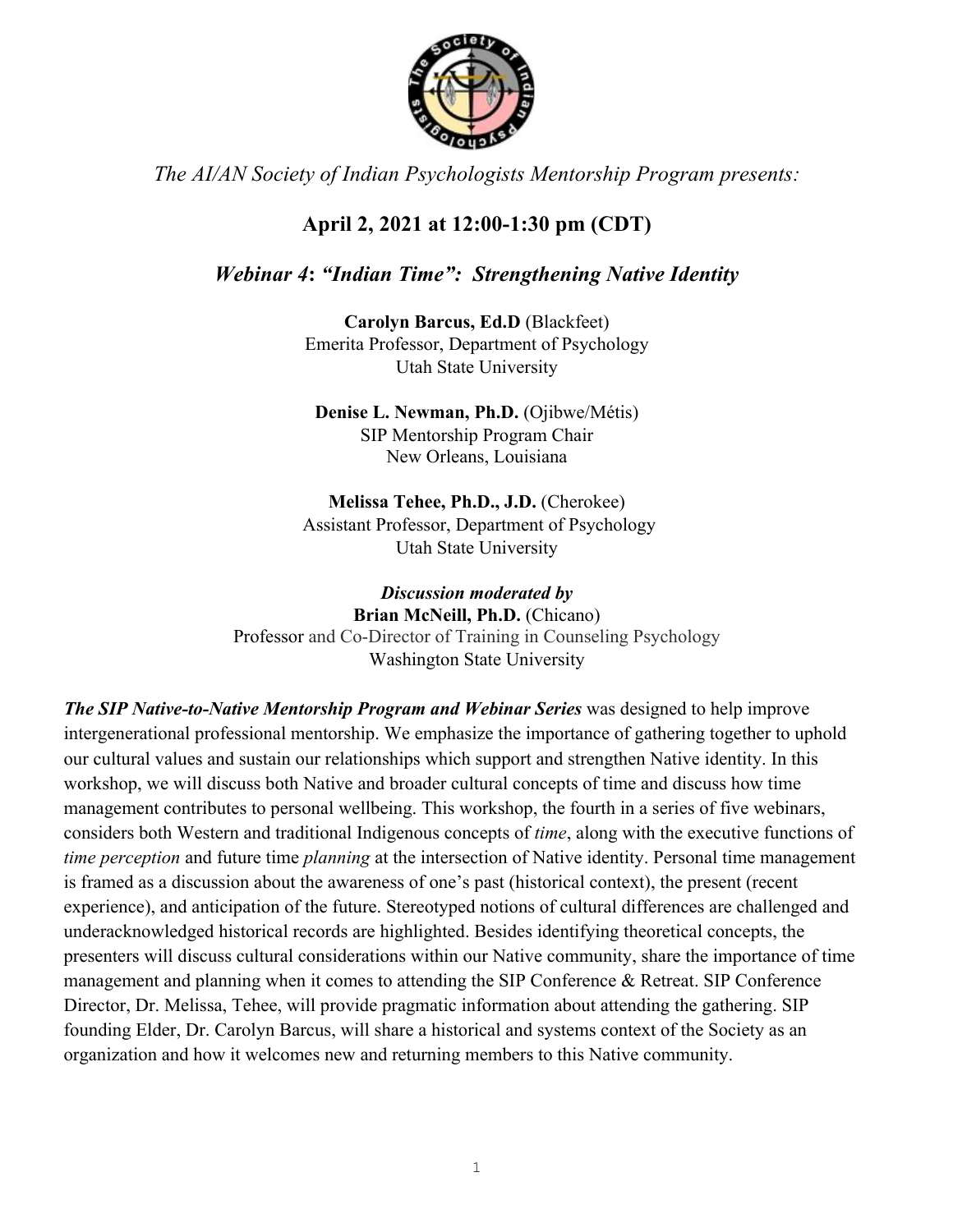

*The AI/AN Society of Indian Psychologists Mentorship Program presents:*

# **April 2, 2021 at 12:00-1:30 pm (CDT)**

# *Webinar 4***:** *"Indian Time": Strengthening Native Identity*

**Carolyn Barcus, Ed.D** (Blackfeet) Emerita Professor, Department of Psychology Utah State University

**Denise L. Newman, Ph.D.** (Ojibwe/Métis) SIP Mentorship Program Chair New Orleans, Louisiana

**Melissa Tehee, Ph.D., J.D.** (Cherokee) Assistant Professor, Department of Psychology Utah State University

*Discussion moderated by*  **Brian McNeill, Ph.D.** (Chicano) Professor and Co-Director of Training in Counseling Psychology Washington State University

*The SIP Native-to-Native Mentorship Program and Webinar Series* was designed to help improve intergenerational professional mentorship. We emphasize the importance of gathering together to uphold our cultural values and sustain our relationships which support and strengthen Native identity. In this workshop, we will discuss both Native and broader cultural concepts of time and discuss how time management contributes to personal wellbeing. This workshop, the fourth in a series of five webinars, considers both Western and traditional Indigenous concepts of *time*, along with the executive functions of *time perception* and future time *planning* at the intersection of Native identity. Personal time management is framed as a discussion about the awareness of one's past (historical context), the present (recent experience), and anticipation of the future. Stereotyped notions of cultural differences are challenged and underacknowledged historical records are highlighted. Besides identifying theoretical concepts, the presenters will discuss cultural considerations within our Native community, share the importance of time management and planning when it comes to attending the SIP Conference & Retreat. SIP Conference Director, Dr. Melissa, Tehee, will provide pragmatic information about attending the gathering. SIP founding Elder, Dr. Carolyn Barcus, will share a historical and systems context of the Society as an organization and how it welcomes new and returning members to this Native community.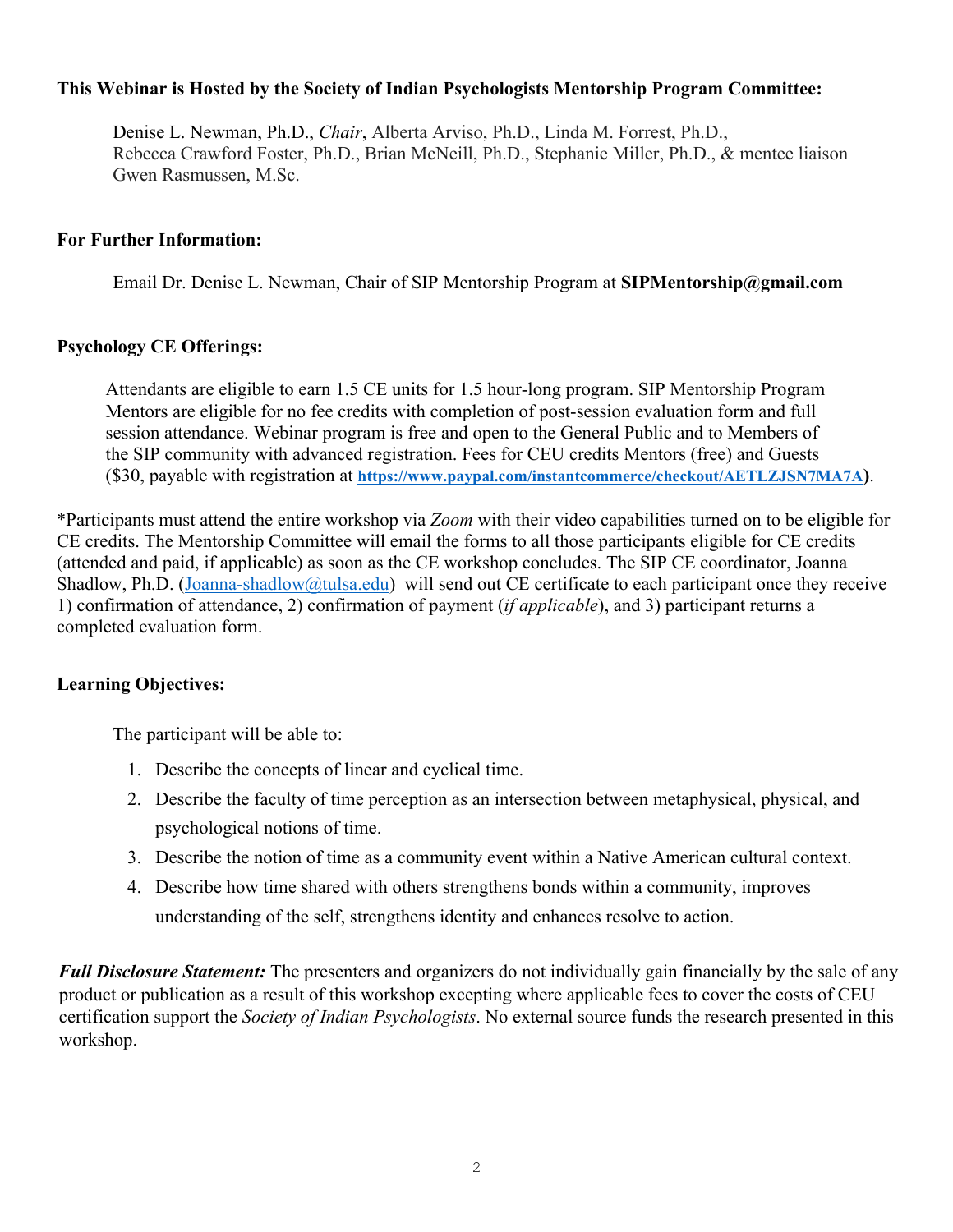## **This Webinar is Hosted by the Society of Indian Psychologists Mentorship Program Committee:**

Denise L. Newman, Ph.D., *Chair*, Alberta Arviso, Ph.D., Linda M. Forrest, Ph.D., Rebecca Crawford Foster, Ph.D., Brian McNeill, Ph.D., Stephanie Miller, Ph.D., & mentee liaison Gwen Rasmussen, M.Sc.

#### **For Further Information:**

Email Dr. Denise L. Newman, Chair of SIP Mentorship Program at **SIPMentorship@gmail.com**

#### **Psychology CE Offerings:**

Attendants are eligible to earn 1.5 CE units for 1.5 hour-long program. SIP Mentorship Program Mentors are eligible for no fee credits with completion of post-session evaluation form and full session attendance. Webinar program is free and open to the General Public and to Members of the SIP community with advanced registration. Fees for CEU credits Mentors (free) and Guests (\$30, payable with registration at **https://www.paypal.com/instantcommerce/checkout/AETLZJSN7MA7A)**.

\*Participants must attend the entire workshop via *Zoom* with their video capabilities turned on to be eligible for CE credits. The Mentorship Committee will email the forms to all those participants eligible for CE credits (attended and paid, if applicable) as soon as the CE workshop concludes. The SIP CE coordinator, Joanna Shadlow, Ph.D. (Joanna-shadlow@tulsa.edu) will send out CE certificate to each participant once they receive 1) confirmation of attendance, 2) confirmation of payment (*if applicable*), and 3) participant returns a completed evaluation form.

#### **Learning Objectives:**

The participant will be able to:

- 1. Describe the concepts of linear and cyclical time.
- 2. Describe the faculty of time perception as an intersection between metaphysical, physical, and psychological notions of time.
- 3. Describe the notion of time as a community event within a Native American cultural context.
- 4. Describe how time shared with others strengthens bonds within a community, improves understanding of the self, strengthens identity and enhances resolve to action.

*Full Disclosure Statement:* The presenters and organizers do not individually gain financially by the sale of any product or publication as a result of this workshop excepting where applicable fees to cover the costs of CEU certification support the *Society of Indian Psychologists*. No external source funds the research presented in this workshop.